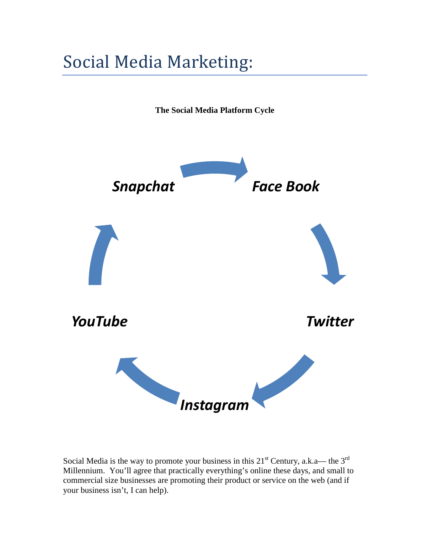## Social Media Marketing:

**The Social Media Platform Cycle**



Social Media is the way to promote your business in this  $21<sup>st</sup>$  Century, a.k.a— the  $3<sup>rd</sup>$ Millennium. You'll agree that practically everything's online these days, and small to commercial size businesses are promoting their product or service on the web (and if your business isn't, I can help).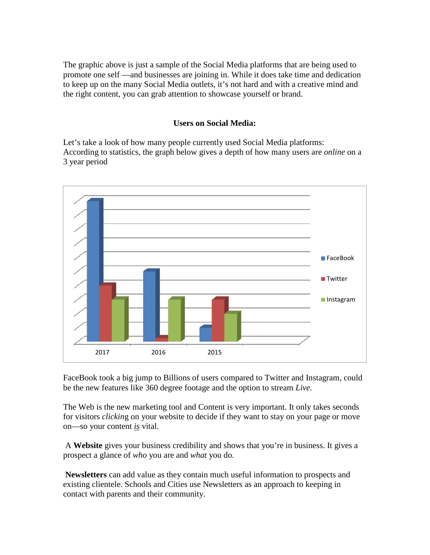The graphic above is just a sample of the Social Media platforms that are being used to promote one self —and businesses are joining in. While it does take time and dedication to keep up on the many Social Media outlets, it's not hard and with a creative mind and the right content, you can grab attention to showcase yourself or brand.

## **Users on Social Media:**

Let's take a look of how many people currently used Social Media platforms: According to statistics, the graph below gives a depth of how many users are *online* on a 3 year period



FaceBook took a big jump to Billions of users compared to Twitter and Instagram, could be the new features like 360 degree footage and the option to stream *Live.*

The Web is the new marketing tool and Content is very important. It only takes seconds for visitors *clickin*g on your website to decide if they want to stay on your page or move on—so your content *is* vital.

A **Website** gives your business credibility and shows that you're in business. It gives a prospect a glance of *who* you are and *what* you do.

**Newsletters** can add value as they contain much useful information to prospects and existing clientele. Schools and Cities use Newsletters as an approach to keeping in contact with parents and their community.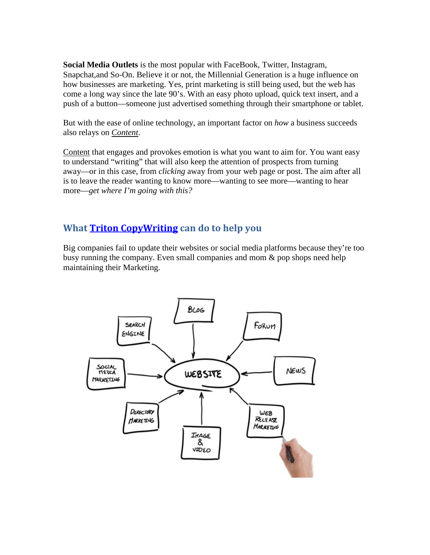**Social Media Outlets** is the most popular with FaceBook, Twitter, Instagram, Snapchat,and So-On. Believe it or not, the Millennial Generation is a huge influence on how businesses are marketing. Yes, print marketing is still being used, but the web has come a long way since the late 90's. With an easy photo upload, quick text insert, and a push of a button—someone just advertised something through their smartphone or tablet.

But with the ease of online technology, an important factor on *how* a business succeeds also relays on *Content*.

Content that engages and provokes emotion is what you want to aim for. You want easy to understand "writing" that will also keep the attention of prospects from turning away—or in this case, from *clicking* away from your web page or post. The aim after all is to leave the reader wanting to know more—wanting to see more—wanting to hear more—*get where I'm going with this?*

## **What [Triton CopyWriting](http://www.tritoncopywriting.com/) can do to help you**

Big companies fail to update their websites or social media platforms because they're too busy running the company. Even small companies and mom & pop shops need help maintaining their Marketing.